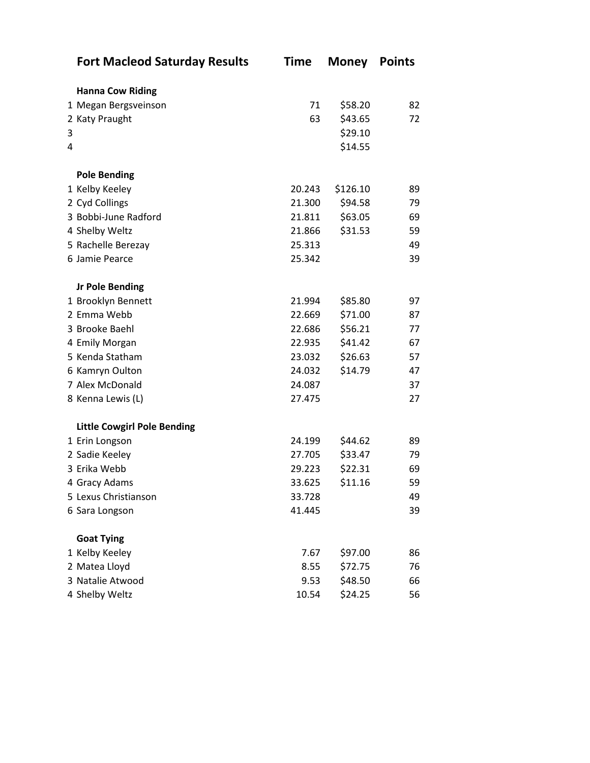|   | <b>Fort Macleod Saturday Results</b> | <b>Time</b> | <b>Money</b> | <b>Points</b> |
|---|--------------------------------------|-------------|--------------|---------------|
|   | <b>Hanna Cow Riding</b>              |             |              |               |
|   | 1 Megan Bergsveinson                 | 71          | \$58.20      | 82            |
|   | 2 Katy Praught                       | 63          | \$43.65      | 72            |
| 3 |                                      |             | \$29.10      |               |
| 4 |                                      |             | \$14.55      |               |
|   | <b>Pole Bending</b>                  |             |              |               |
|   | 1 Kelby Keeley                       | 20.243      | \$126.10     | 89            |
|   | 2 Cyd Collings                       | 21.300      | \$94.58      | 79            |
|   | 3 Bobbi-June Radford                 | 21.811      | \$63.05      | 69            |
|   | 4 Shelby Weltz                       | 21.866      | \$31.53      | 59            |
|   | 5 Rachelle Berezay                   | 25.313      |              | 49            |
|   | 6 Jamie Pearce                       | 25.342      |              | 39            |
|   | <b>Jr Pole Bending</b>               |             |              |               |
|   | 1 Brooklyn Bennett                   | 21.994      | \$85.80      | 97            |
|   | 2 Emma Webb                          | 22.669      | \$71.00      | 87            |
|   | 3 Brooke Baehl                       | 22.686      | \$56.21      | 77            |
|   | 4 Emily Morgan                       | 22.935      | \$41.42      | 67            |
|   | 5 Kenda Statham                      | 23.032      | \$26.63      | 57            |
|   | 6 Kamryn Oulton                      | 24.032      | \$14.79      | 47            |
|   | 7 Alex McDonald                      | 24.087      |              | 37            |
|   | 8 Kenna Lewis (L)                    | 27.475      |              | 27            |
|   | <b>Little Cowgirl Pole Bending</b>   |             |              |               |
|   | 1 Erin Longson                       | 24.199      | \$44.62      | 89            |
|   | 2 Sadie Keeley                       | 27.705      | \$33.47      | 79            |
|   | 3 Erika Webb                         | 29.223      | \$22.31      | 69            |
|   | 4 Gracy Adams                        | 33.625      | \$11.16      | 59            |
|   | 5 Lexus Christianson                 | 33.728      |              | 49            |
|   | 6 Sara Longson                       | 41.445      |              | 39            |
|   | <b>Goat Tying</b>                    |             |              |               |
|   | 1 Kelby Keeley                       | 7.67        | \$97.00      | 86            |
|   | 2 Matea Lloyd                        | 8.55        | \$72.75      | 76            |
|   | 3 Natalie Atwood                     | 9.53        | \$48.50      | 66            |
|   | 4 Shelby Weltz                       | 10.54       | \$24.25      | 56            |
|   |                                      |             |              |               |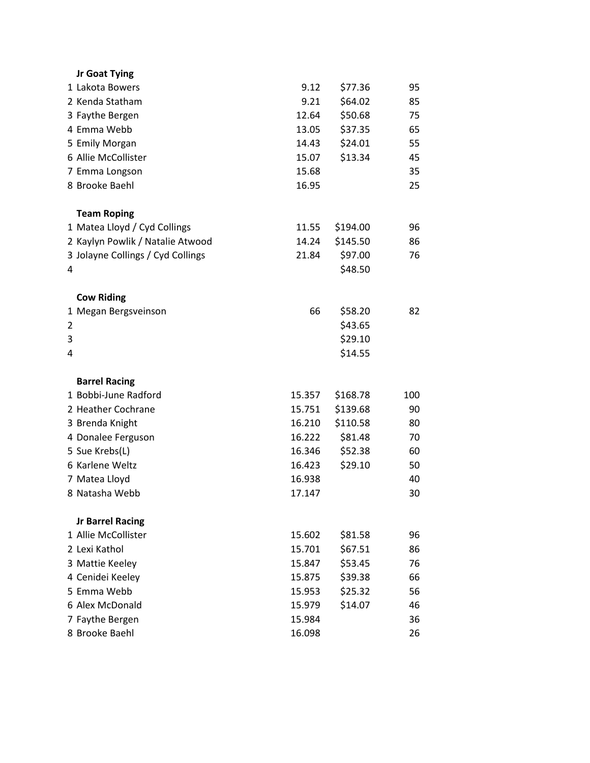|   | Jr Goat Tying                     |        |          |     |
|---|-----------------------------------|--------|----------|-----|
|   | 1 Lakota Bowers                   | 9.12   | \$77.36  | 95  |
|   | 2 Kenda Statham                   | 9.21   | \$64.02  | 85  |
|   | 3 Faythe Bergen                   | 12.64  | \$50.68  | 75  |
|   | 4 Emma Webb                       | 13.05  | \$37.35  | 65  |
|   | 5 Emily Morgan                    | 14.43  | \$24.01  | 55  |
|   | 6 Allie McCollister               | 15.07  | \$13.34  | 45  |
|   | 7 Emma Longson                    | 15.68  |          | 35  |
|   | 8 Brooke Baehl                    | 16.95  |          | 25  |
|   |                                   |        |          |     |
|   | <b>Team Roping</b>                |        |          |     |
|   | 1 Matea Lloyd / Cyd Collings      | 11.55  | \$194.00 | 96  |
|   | 2 Kaylyn Powlik / Natalie Atwood  | 14.24  | \$145.50 | 86  |
|   | 3 Jolayne Collings / Cyd Collings | 21.84  | \$97.00  | 76  |
| 4 |                                   |        | \$48.50  |     |
|   |                                   |        |          |     |
|   | <b>Cow Riding</b>                 |        |          |     |
|   | 1 Megan Bergsveinson              | 66     | \$58.20  | 82  |
| 2 |                                   |        | \$43.65  |     |
| 3 |                                   |        | \$29.10  |     |
| 4 |                                   |        | \$14.55  |     |
|   |                                   |        |          |     |
|   | <b>Barrel Racing</b>              |        |          |     |
|   | 1 Bobbi-June Radford              | 15.357 | \$168.78 | 100 |
|   | 2 Heather Cochrane                | 15.751 | \$139.68 | 90  |
|   | 3 Brenda Knight                   | 16.210 | \$110.58 | 80  |
|   | 4 Donalee Ferguson                | 16.222 | \$81.48  | 70  |
|   | 5 Sue Krebs(L)                    | 16.346 | \$52.38  | 60  |
|   | 6 Karlene Weltz                   | 16.423 | \$29.10  | 50  |
|   | 7 Matea Lloyd                     | 16.938 |          | 40  |
|   | 8 Natasha Webb                    | 17.147 |          | 30  |
|   | <b>Jr Barrel Racing</b>           |        |          |     |
|   | 1 Allie McCollister               | 15.602 | \$81.58  | 96  |
|   | 2 Lexi Kathol                     | 15.701 | \$67.51  | 86  |
|   | 3 Mattie Keeley                   | 15.847 | \$53.45  | 76  |
|   | 4 Cenidei Keeley                  | 15.875 | \$39.38  | 66  |
|   | 5 Emma Webb                       | 15.953 | \$25.32  | 56  |
|   | 6 Alex McDonald                   | 15.979 | \$14.07  | 46  |
|   | 7 Faythe Bergen                   | 15.984 |          | 36  |
|   | 8 Brooke Baehl                    | 16.098 |          | 26  |
|   |                                   |        |          |     |